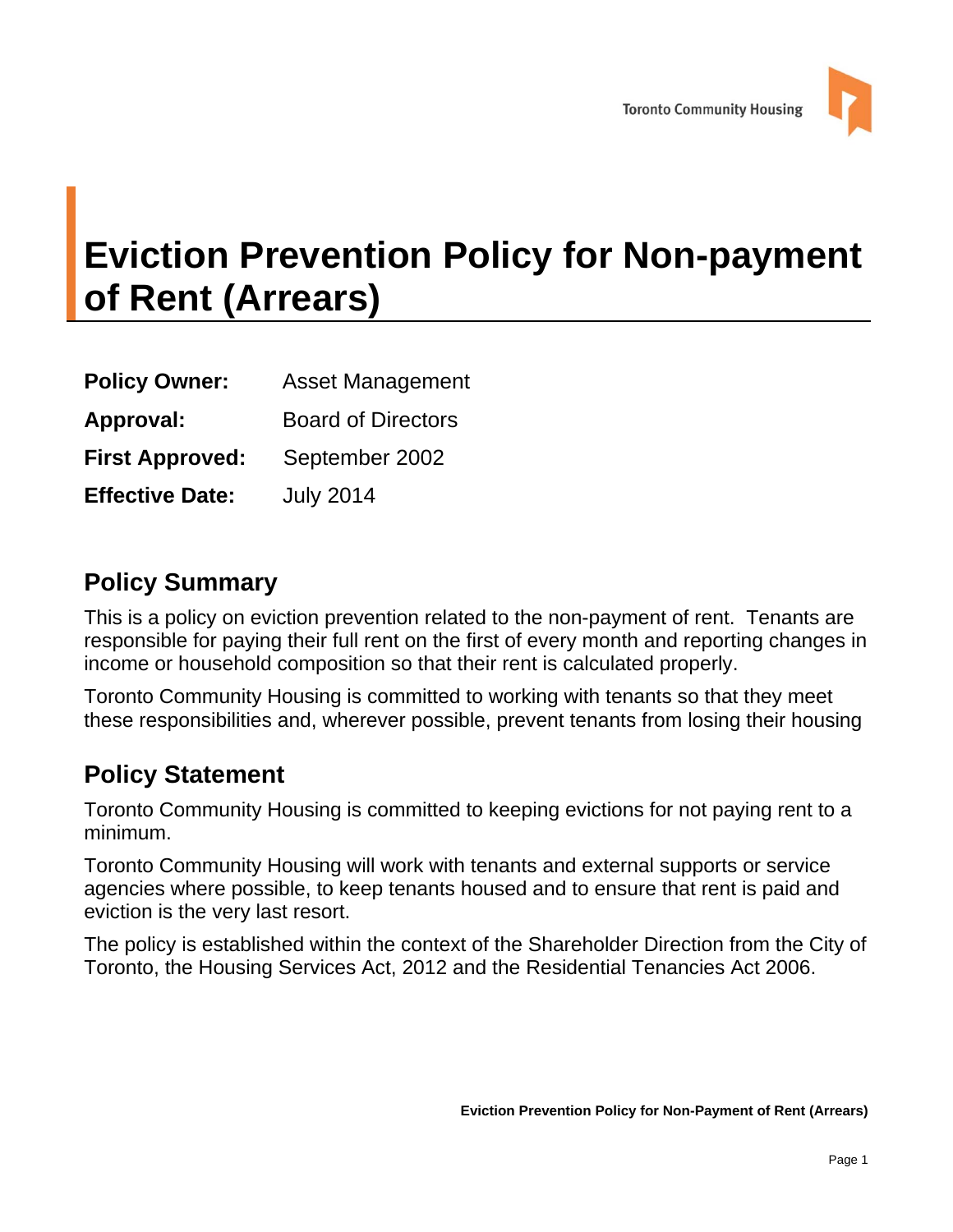

# **Eviction Prevention Policy for Non-payment of Rent (Arrears)**

| <b>Policy Owner:</b>   | <b>Asset Management</b>   |  |
|------------------------|---------------------------|--|
| Approval:              | <b>Board of Directors</b> |  |
| <b>First Approved:</b> | September 2002            |  |
| <b>Effective Date:</b> | <b>July 2014</b>          |  |

## **Policy Summary**

This is a policy on eviction prevention related to the non-payment of rent. Tenants are responsible for paying their full rent on the first of every month and reporting changes in income or household composition so that their rent is calculated properly.

Toronto Community Housing is committed to working with tenants so that they meet these responsibilities and, wherever possible, prevent tenants from losing their housing

## **Policy Statement**

Toronto Community Housing is committed to keeping evictions for not paying rent to a minimum.

Toronto Community Housing will work with tenants and external supports or service agencies where possible, to keep tenants housed and to ensure that rent is paid and eviction is the very last resort.

The policy is established within the context of the Shareholder Direction from the City of Toronto, the Housing Services Act, 2012 and the Residential Tenancies Act 2006.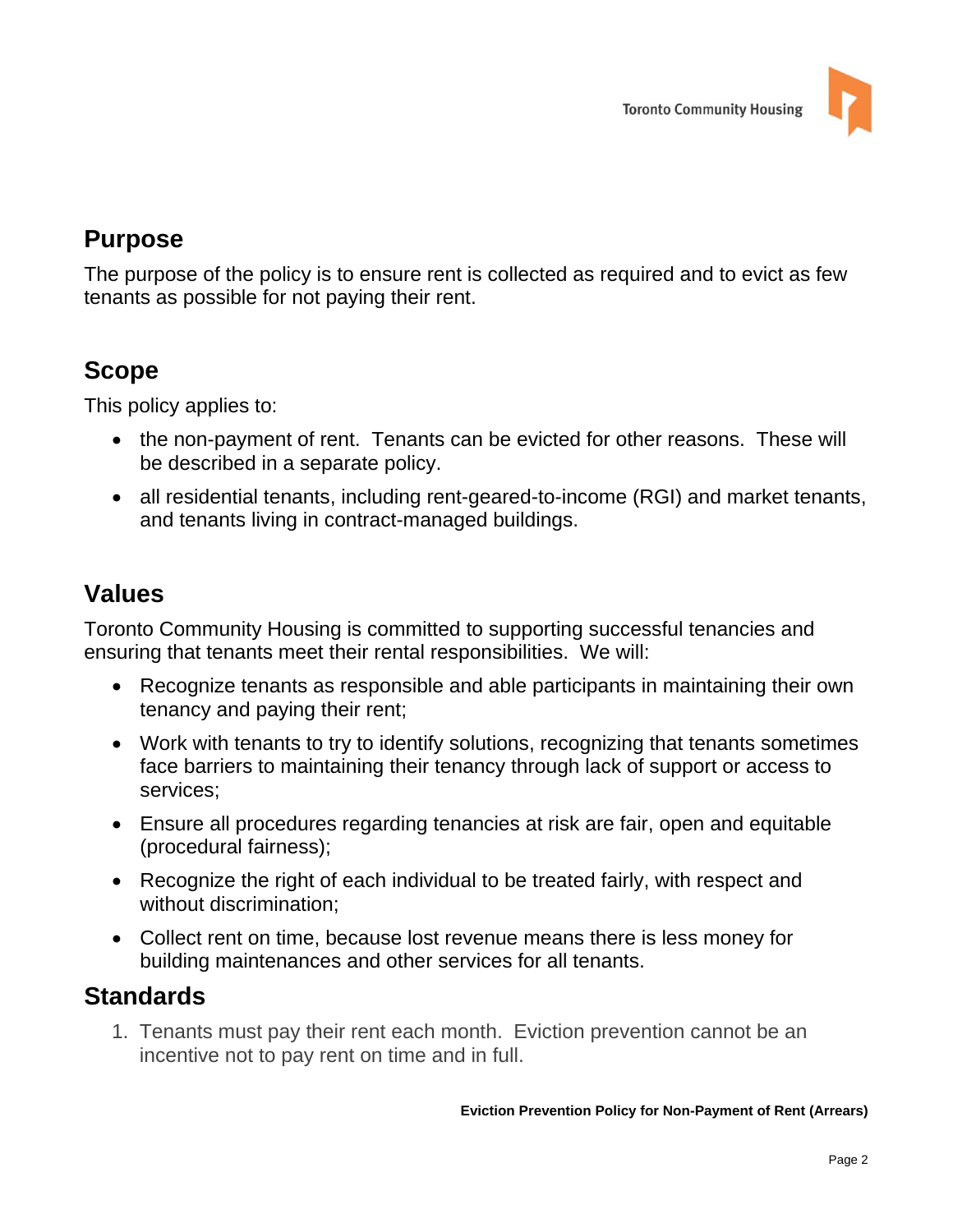

# **Purpose**

The purpose of the policy is to ensure rent is collected as required and to evict as few tenants as possible for not paying their rent.

## **Scope**

This policy applies to:

- the non-payment of rent. Tenants can be evicted for other reasons. These will be described in a separate policy.
- all residential tenants, including rent-geared-to-income (RGI) and market tenants, and tenants living in contract-managed buildings.

## **Values**

Toronto Community Housing is committed to supporting successful tenancies and ensuring that tenants meet their rental responsibilities. We will:

- Recognize tenants as responsible and able participants in maintaining their own tenancy and paying their rent;
- Work with tenants to try to identify solutions, recognizing that tenants sometimes face barriers to maintaining their tenancy through lack of support or access to services;
- Ensure all procedures regarding tenancies at risk are fair, open and equitable (procedural fairness);
- Recognize the right of each individual to be treated fairly, with respect and without discrimination;
- Collect rent on time, because lost revenue means there is less money for building maintenances and other services for all tenants.

# **Standards**

1. Tenants must pay their rent each month. Eviction prevention cannot be an incentive not to pay rent on time and in full.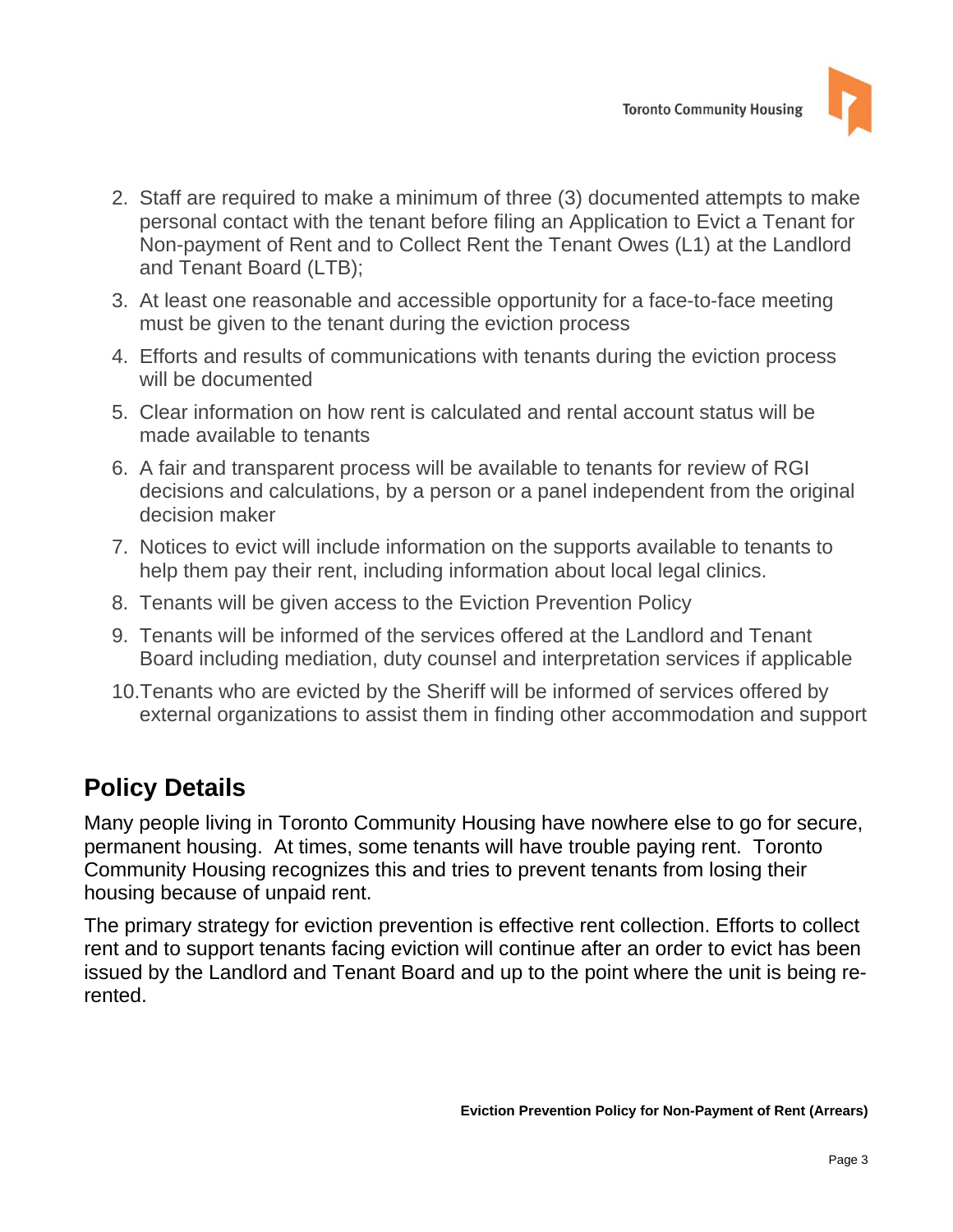

- 2. Staff are required to make a minimum of three (3) documented attempts to make personal contact with the tenant before filing an Application to Evict a Tenant for Non-payment of Rent and to Collect Rent the Tenant Owes (L1) at the Landlord and Tenant Board (LTB);
- 3. At least one reasonable and accessible opportunity for a face-to-face meeting must be given to the tenant during the eviction process
- 4. Efforts and results of communications with tenants during the eviction process will be documented
- 5. Clear information on how rent is calculated and rental account status will be made available to tenants
- 6. A fair and transparent process will be available to tenants for review of RGI decisions and calculations, by a person or a panel independent from the original decision maker
- 7. Notices to evict will include information on the supports available to tenants to help them pay their rent, including information about local legal clinics.
- 8. Tenants will be given access to the Eviction Prevention Policy
- 9. Tenants will be informed of the services offered at the Landlord and Tenant Board including mediation, duty counsel and interpretation services if applicable
- 10. Tenants who are evicted by the Sheriff will be informed of services offered by external organizations to assist them in finding other accommodation and support

# **Policy Details**

Many people living in Toronto Community Housing have nowhere else to go for secure, permanent housing. At times, some tenants will have trouble paying rent. Toronto Community Housing recognizes this and tries to prevent tenants from losing their housing because of unpaid rent.

The primary strategy for eviction prevention is effective rent collection. Efforts to collect rent and to support tenants facing eviction will continue after an order to evict has been issued by the Landlord and Tenant Board and up to the point where the unit is being rerented.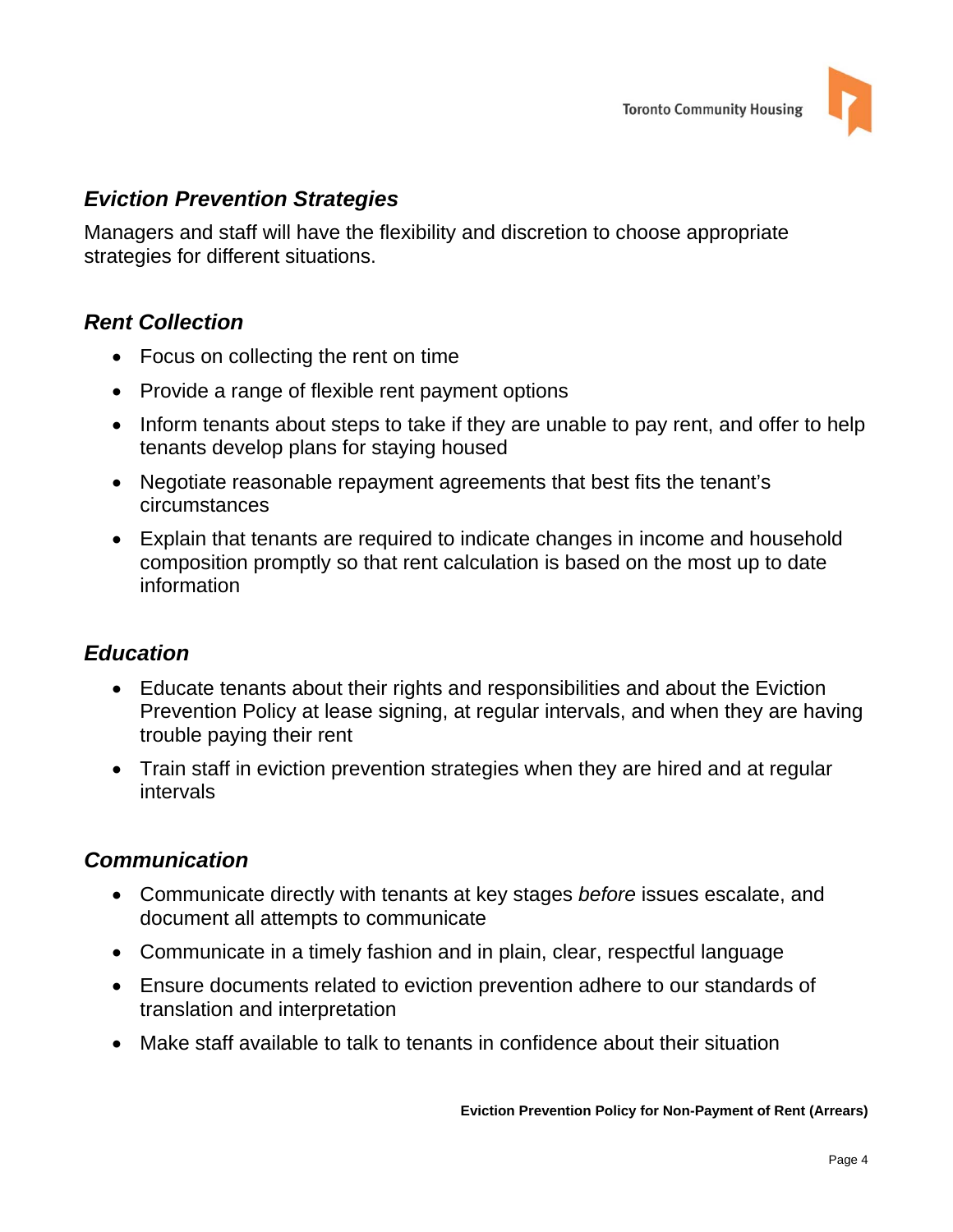

#### *Eviction Prevention Strategies*

Managers and staff will have the flexibility and discretion to choose appropriate strategies for different situations.

#### *Rent Collection*

- Focus on collecting the rent on time
- Provide a range of flexible rent payment options
- Inform tenants about steps to take if they are unable to pay rent, and offer to help tenants develop plans for staying housed
- Negotiate reasonable repayment agreements that best fits the tenant's circumstances
- Explain that tenants are required to indicate changes in income and household composition promptly so that rent calculation is based on the most up to date information

#### *Education*

- Educate tenants about their rights and responsibilities and about the Eviction Prevention Policy at lease signing, at regular intervals, and when they are having trouble paying their rent
- Train staff in eviction prevention strategies when they are hired and at regular intervals

#### *Communication*

- Communicate directly with tenants at key stages *before* issues escalate, and document all attempts to communicate
- Communicate in a timely fashion and in plain, clear, respectful language
- Ensure documents related to eviction prevention adhere to our standards of translation and interpretation
- Make staff available to talk to tenants in confidence about their situation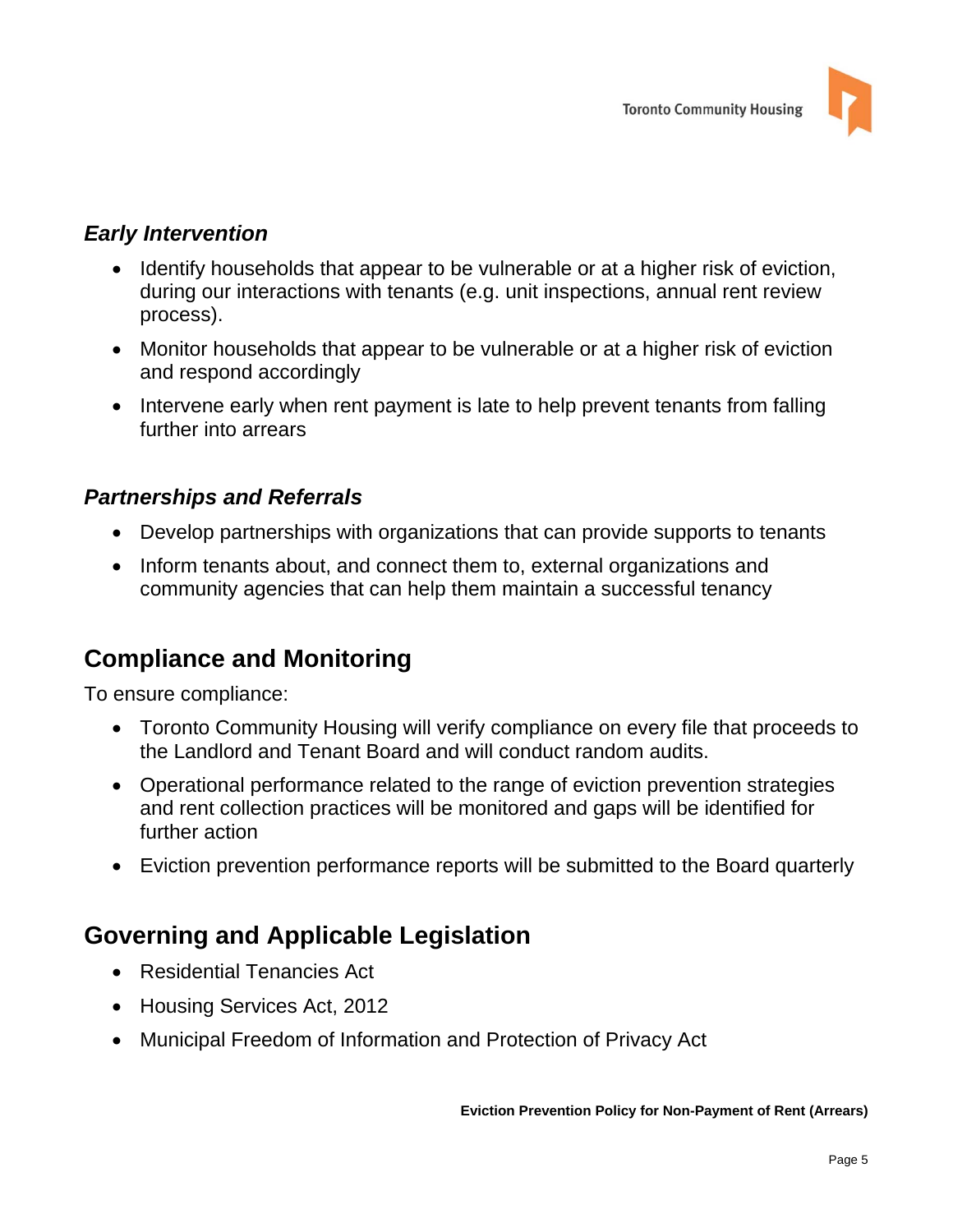

#### *Early Intervention*

- Identify households that appear to be vulnerable or at a higher risk of eviction, during our interactions with tenants (e.g. unit inspections, annual rent review process).
- Monitor households that appear to be vulnerable or at a higher risk of eviction and respond accordingly
- Intervene early when rent payment is late to help prevent tenants from falling further into arrears

#### *Partnerships and Referrals*

- Develop partnerships with organizations that can provide supports to tenants
- Inform tenants about, and connect them to, external organizations and community agencies that can help them maintain a successful tenancy

# **Compliance and Monitoring**

To ensure compliance:

- Toronto Community Housing will verify compliance on every file that proceeds to the Landlord and Tenant Board and will conduct random audits.
- Operational performance related to the range of eviction prevention strategies and rent collection practices will be monitored and gaps will be identified for further action
- Eviction prevention performance reports will be submitted to the Board quarterly

# **Governing and Applicable Legislation**

- Residential Tenancies Act
- Housing Services Act, 2012
- Municipal Freedom of Information and Protection of Privacy Act